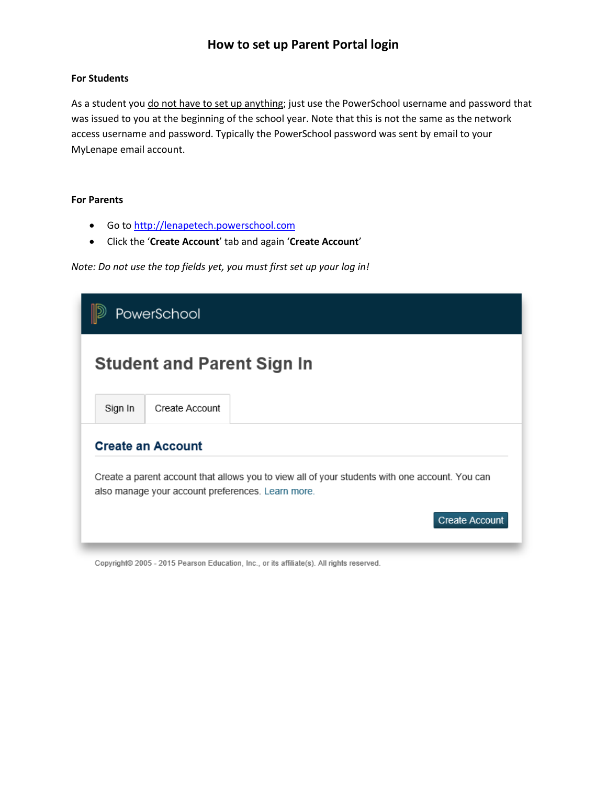## **How to set up Parent Portal login**

### **For Students**

As a student you do not have to set up anything; just use the PowerSchool username and password that was issued to you at the beginning of the school year. Note that this is not the same as the network access username and password. Typically the PowerSchool password was sent by email to your MyLenape email account.

#### **For Parents**

- Go to [http://lenapetech.powerschool.com](http://lenapetech.powerschool.com/)
- Click the '**Create Account**' tab and again '**Create Account**'

*Note: Do not use the top fields yet, you must first set up your log in!*

| PowerSchool                                                                                                                                         |                |                                                                                |  |
|-----------------------------------------------------------------------------------------------------------------------------------------------------|----------------|--------------------------------------------------------------------------------|--|
| <b>Student and Parent Sign In</b>                                                                                                                   |                |                                                                                |  |
| Sign In                                                                                                                                             | Create Account |                                                                                |  |
| <b>Create an Account</b>                                                                                                                            |                |                                                                                |  |
| Create a parent account that allows you to view all of your students with one account. You can<br>also manage your account preferences. Learn more. |                |                                                                                |  |
|                                                                                                                                                     |                | <b>Create Account</b>                                                          |  |
|                                                                                                                                                     |                | Campiolde 2005, 2015 Dearse Education Inc., seits officials All debts reserved |  |

Copyright@ 2005 - 2015 Pearson Education, Inc., or its affiliate(s). All rights reserved.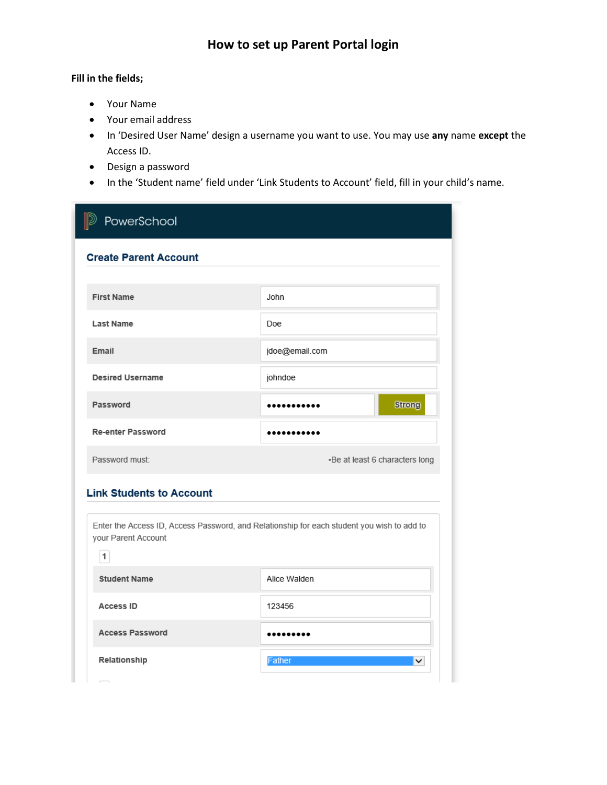# **How to set up Parent Portal login**

### **Fill in the fields;**

- Your Name
- Your email address
- In 'Desired User Name' design a username you want to use. You may use **any** name **except** the Access ID.
- Design a password
- In the 'Student name' field under 'Link Students to Account' field, fill in your child's name.

| PowerSchool                                                                                                                       |                                |  |  |
|-----------------------------------------------------------------------------------------------------------------------------------|--------------------------------|--|--|
| <b>Create Parent Account</b>                                                                                                      |                                |  |  |
|                                                                                                                                   |                                |  |  |
| <b>First Name</b>                                                                                                                 | John                           |  |  |
| <b>Last Name</b>                                                                                                                  | Doe:                           |  |  |
| Email                                                                                                                             | jdoe@email.com                 |  |  |
| <b>Desired Username</b>                                                                                                           | johndoe                        |  |  |
| Password                                                                                                                          | <b>Strong</b><br>.             |  |  |
| <b>Re-enter Password</b>                                                                                                          |                                |  |  |
| Password must:                                                                                                                    | •Be at least 6 characters long |  |  |
| <b>Link Students to Account</b>                                                                                                   |                                |  |  |
| Enter the Access ID, Access Password, and Relationship for each student you wish to add to<br>your Parent Account<br>$\mathbf{1}$ |                                |  |  |
| <b>Student Name</b>                                                                                                               | Alice Walden                   |  |  |
| <b>Access ID</b>                                                                                                                  | 123456                         |  |  |
| <b>Access Password</b>                                                                                                            |                                |  |  |
| Relationship                                                                                                                      | <b>Father</b><br>◡             |  |  |
|                                                                                                                                   |                                |  |  |